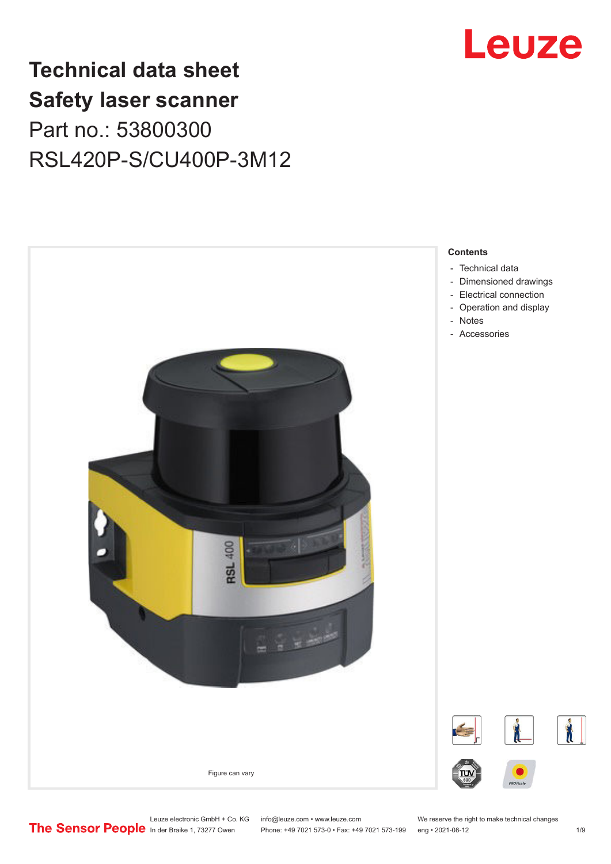

# **Technical data sheet Safety laser scanner** Part no.: 53800300 RSL420P-S/CU400P-3M12



**Contents**

- [Technical data](#page-1-0)
- [Dimensioned drawings](#page-3-0)
- [Electrical connection](#page-4-0)
- [Operation and display](#page-5-0)
- 
- Accessories

Leuze electronic GmbH + Co. KG info@leuze.com • www.leuze.com We reserve the right to make technical changes<br>
The Sensor People in der Braike 1, 73277 Owen Phone: +49 7021 573-0 • Fax: +49 7021 573-199 eng • 2021-08-12

Phone: +49 7021 573-0 • Fax: +49 7021 573-199 eng • 2021-08-12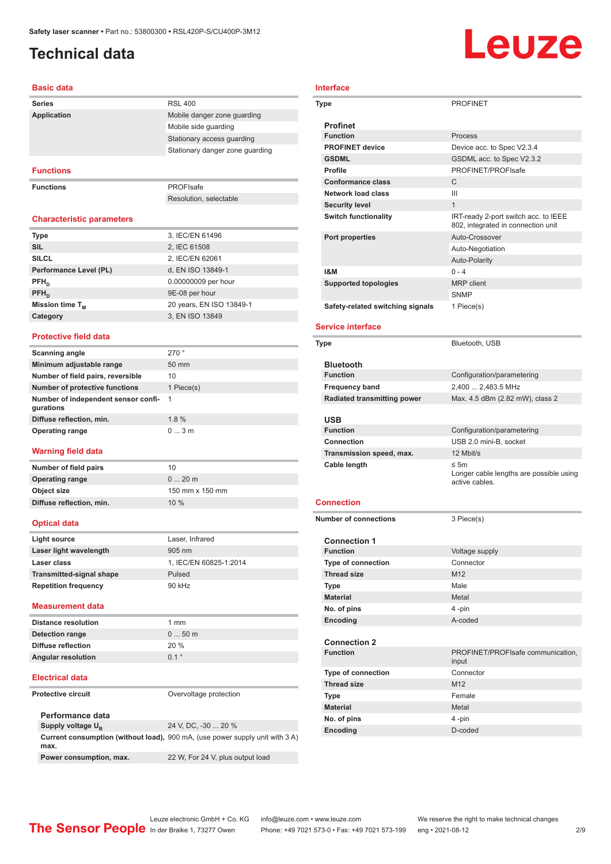# <span id="page-1-0"></span>**Technical data**

### **Basic data**

| <b>Series</b>      | <b>RSL 400</b>                  |
|--------------------|---------------------------------|
| <b>Application</b> | Mobile danger zone quarding     |
|                    | Mobile side quarding            |
|                    | Stationary access guarding      |
|                    | Stationary danger zone guarding |
|                    |                                 |

### **Functions**

**Functions** PROFIsafe

Resolution, selectable

### **Characteristic parameters**

| <b>Type</b>            | 3, IEC/EN 61496          |
|------------------------|--------------------------|
| <b>SIL</b>             | 2, IEC 61508             |
| <b>SILCL</b>           | 2, IEC/EN 62061          |
| Performance Level (PL) | d, EN ISO 13849-1        |
| $PFH_{n}$              | 0.00000009 per hour      |
| $PFH_{n}$              | 9E-08 per hour           |
| Mission time $T_M$     | 20 years, EN ISO 13849-1 |
| Category               | 3, EN ISO 13849          |

### **Protective field data**

| <b>Scanning angle</b>                            | 270°            |
|--------------------------------------------------|-----------------|
| Minimum adjustable range                         | $50 \text{ mm}$ |
| Number of field pairs, reversible                | 10              |
| <b>Number of protective functions</b>            | 1 Piece(s)      |
| Number of independent sensor confi-<br>gurations | -1              |
| Diffuse reflection, min.                         | 1.8%            |
| <b>Operating range</b>                           | 03m             |

### **Warning field data**

| Number of field pairs    | 10              |
|--------------------------|-----------------|
| <b>Operating range</b>   | $020$ m         |
| Object size              | 150 mm x 150 mm |
| Diffuse reflection, min. | 10%             |
|                          |                 |

### **Optical data**

| Light source                    | Laser, Infrared        |
|---------------------------------|------------------------|
| Laser light wavelength          | $905 \text{ nm}$       |
| Laser class                     | 1, IEC/EN 60825-1:2014 |
| <b>Transmitted-signal shape</b> | Pulsed                 |
| <b>Repetition frequency</b>     | 90 kHz                 |
|                                 |                        |

### **Measurement data**

| <b>Distance resolution</b> | 1 mm             |
|----------------------------|------------------|
| Detection range            | $050$ m          |
| Diffuse reflection         | 20%              |
| <b>Angular resolution</b>  | $0.1$ $^{\circ}$ |

### **Electrical data**

**Protective circuit COVER COVER COVER COVER COVER** 

| Performance data              |                                                                                     |
|-------------------------------|-------------------------------------------------------------------------------------|
| Supply voltage U <sub>p</sub> | 24 V. DC. -30  20 %                                                                 |
| max.                          | <b>Current consumption (without load), 900 mA, (use power supply unit with 3 A)</b> |
| Power consumption, max.       | 22 W, For 24 V, plus output load                                                    |

# **Interface Type** PROFINET

| ηe                               | FRUFINEI                                                                   |
|----------------------------------|----------------------------------------------------------------------------|
| <b>Profinet</b>                  |                                                                            |
| <b>Function</b>                  | <b>Process</b>                                                             |
| <b>PROFINET device</b>           | Device acc. to Spec V2.3.4                                                 |
| <b>GSDML</b>                     | GSDML acc. to Spec V2.3.2                                                  |
| <b>Profile</b>                   | PROFINET/PROFIsafe                                                         |
| <b>Conformance class</b>         | C                                                                          |
| Network load class               | Ш                                                                          |
| <b>Security level</b>            | 1                                                                          |
| <b>Switch functionality</b>      | IRT-ready 2-port switch acc. to IEEE<br>802, integrated in connection unit |
| Port properties                  | Auto-Crossover                                                             |
|                                  | Auto-Negotiation                                                           |
|                                  | Auto-Polarity                                                              |
| 1&M                              | $0 - 4$                                                                    |
| <b>Supported topologies</b>      | <b>MRP</b> client                                                          |
|                                  | <b>SNMP</b>                                                                |
| Safety-related switching signals | 1 Piece(s)                                                                 |

### **Service interface**

| Type                               | Bluetooth, USB                                                        |
|------------------------------------|-----------------------------------------------------------------------|
| <b>Bluetooth</b>                   |                                                                       |
| <b>Function</b>                    | Configuration/parametering                                            |
| <b>Frequency band</b>              | 2,400  2,483.5 MHz                                                    |
| <b>Radiated transmitting power</b> | Max. 4.5 dBm (2.82 mW), class 2                                       |
|                                    |                                                                       |
| <b>USB</b>                         |                                                                       |
| <b>Function</b>                    | Configuration/parametering                                            |
| Connection                         | USB 2.0 mini-B, socket                                                |
| Transmission speed, max.           | 12 Mbit/s                                                             |
| Cable length                       | $\leq$ 5m<br>Longer cable lengths are possible using<br>active cables |
| <b>Connection</b>                  |                                                                       |
| <b>Number of connections</b>       | 3 Piece(s)                                                            |
| <b>Connection 1</b>                |                                                                       |
| <b>Function</b>                    | Voltage supply                                                        |
|                                    |                                                                       |

| <b>Function</b>           | Voltage supply                             |
|---------------------------|--------------------------------------------|
| <b>Type of connection</b> | Connector                                  |
| <b>Thread size</b>        | M <sub>12</sub>                            |
| <b>Type</b>               | Male                                       |
| <b>Material</b>           | Metal                                      |
| No. of pins               | 4-pin                                      |
| Encoding                  | A-coded                                    |
| <b>Connection 2</b>       |                                            |
| <b>Function</b>           | PROFINET/PROFIsafe communication,<br>input |
| <b>Type of connection</b> | Connector                                  |
| <b>Thread size</b>        | M <sub>12</sub>                            |
| <b>Type</b>               | Female                                     |
| <b>Material</b>           | Metal                                      |
| No. of pins               | 4-pin                                      |
| Encoding                  | D-coded                                    |

# Leuze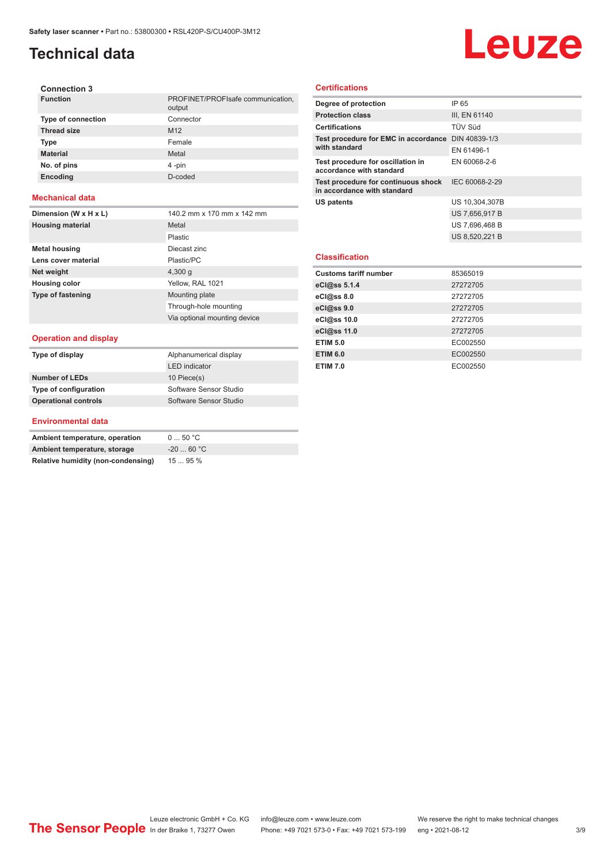# **Technical data**

# Leuze

| <b>Connection 3</b>       |                                             |
|---------------------------|---------------------------------------------|
| <b>Function</b>           | PROFINET/PROFIsafe communication,<br>output |
| <b>Type of connection</b> | Connector                                   |
| <b>Thread size</b>        | M <sub>12</sub>                             |
| <b>Type</b>               | Female                                      |
| <b>Material</b>           | Metal                                       |
| No. of pins               | 4-pin                                       |
| <b>Encoding</b>           | D-coded                                     |
|                           |                                             |

### **Mechanical data**

| Dimension (W x H x L)        | 140.2 mm x 170 mm x 142 mm   |
|------------------------------|------------------------------|
| <b>Housing material</b>      | Metal                        |
|                              | Plastic                      |
| <b>Metal housing</b>         | Diecast zinc                 |
| Lens cover material          | Plastic/PC                   |
| Net weight                   | 4,300q                       |
| <b>Housing color</b>         | Yellow, RAL 1021             |
| <b>Type of fastening</b>     | Mounting plate               |
|                              | Through-hole mounting        |
|                              | Via optional mounting device |
|                              |                              |
| <b>Operation and display</b> |                              |
| Type of display              | Alphanumerical display       |

### **Certifications**

| Degree of protection                                               | IP 65          |
|--------------------------------------------------------------------|----------------|
| <b>Protection class</b>                                            | III, EN 61140  |
| <b>Certifications</b>                                              | TÜV Süd        |
| Test procedure for EMC in accordance DIN 40839-1/3                 |                |
| with standard                                                      | EN 61496-1     |
| Test procedure for oscillation in<br>accordance with standard      | EN 60068-2-6   |
| Test procedure for continuous shock<br>in accordance with standard | IEC 60068-2-29 |
| <b>US patents</b>                                                  | US 10,304,307B |
|                                                                    | US 7,656,917 B |
|                                                                    | US 7,696,468 B |
|                                                                    | US 8,520,221 B |
|                                                                    |                |
| <b>Classification</b>                                              |                |
| <b>Customs tariff number</b>                                       | 85365019       |
| eCl@ss 5.1.4                                                       | 27272705       |
| eCl@ss 8.0                                                         | 27272705       |
| eCl@ss 9.0                                                         | 27272705       |
| eCl@ss 10.0                                                        | 27272705       |
| eCl@ss 11.0                                                        | 27272705       |
| <b>ETIM 5.0</b>                                                    | EC002550       |
| <b>ETIM 6.0</b>                                                    | EC002550       |
| <b>ETIM 7.0</b>                                                    | EC002550       |

### **Environmental data**

**Number of LEDs** 10 Piece(s)

**Type of configuration** Software Sensor Studio **Operational controls** Software Sensor Studio

| Ambient temperature, operation     | $0 \dots 50$ °C |
|------------------------------------|-----------------|
| Ambient temperature, storage       | $-2060 °C$      |
| Relative humidity (non-condensing) | 1595%           |

LED indicator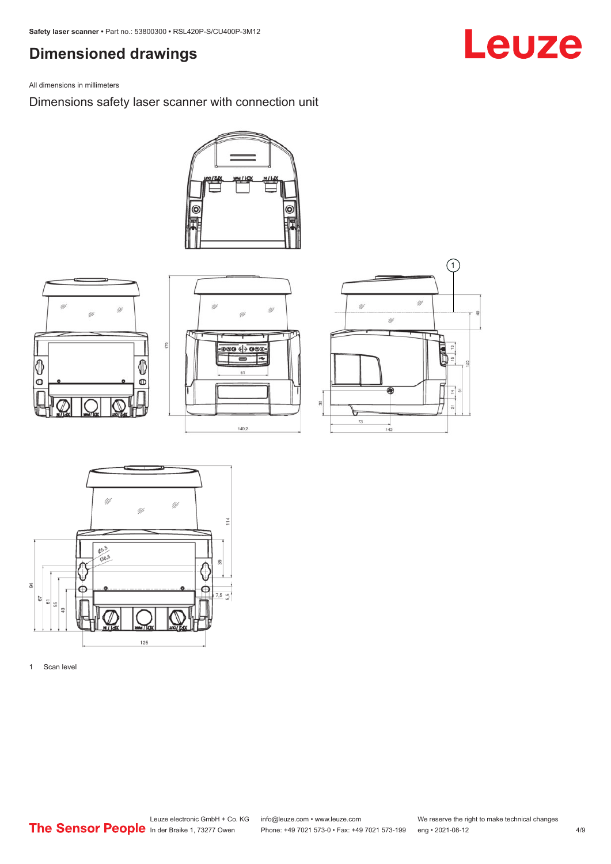## <span id="page-3-0"></span>**Dimensioned drawings**

All dimensions in millimeters

Dimensions safety laser scanner with connection unit













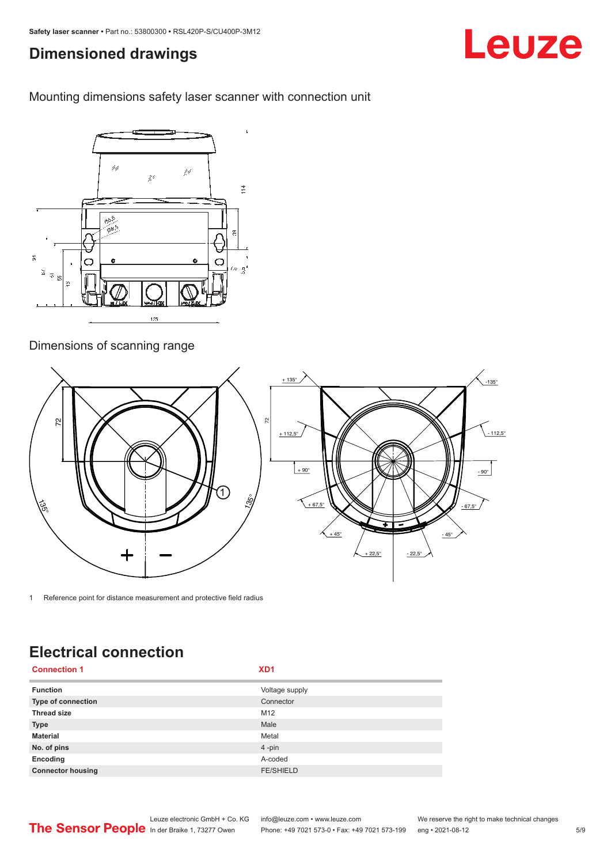# <span id="page-4-0"></span>**Dimensioned drawings**

Mounting dimensions safety laser scanner with connection unit



### Dimensions of scanning range



1 Reference point for distance measurement and protective field radius

# **Electrical connection**

| <b>Connection 1</b>      | XD <sub>1</sub>  |
|--------------------------|------------------|
| <b>Function</b>          | Voltage supply   |
| Type of connection       | Connector        |
| <b>Thread size</b>       | M12              |
| <b>Type</b>              | Male             |
| <b>Material</b>          | Metal            |
| No. of pins              | $4 - pin$        |
| Encoding                 | A-coded          |
| <b>Connector housing</b> | <b>FE/SHIELD</b> |



Phone: +49 7021 573-0 • Fax: +49 7021 573-199 eng • 2021-08-12

Leuze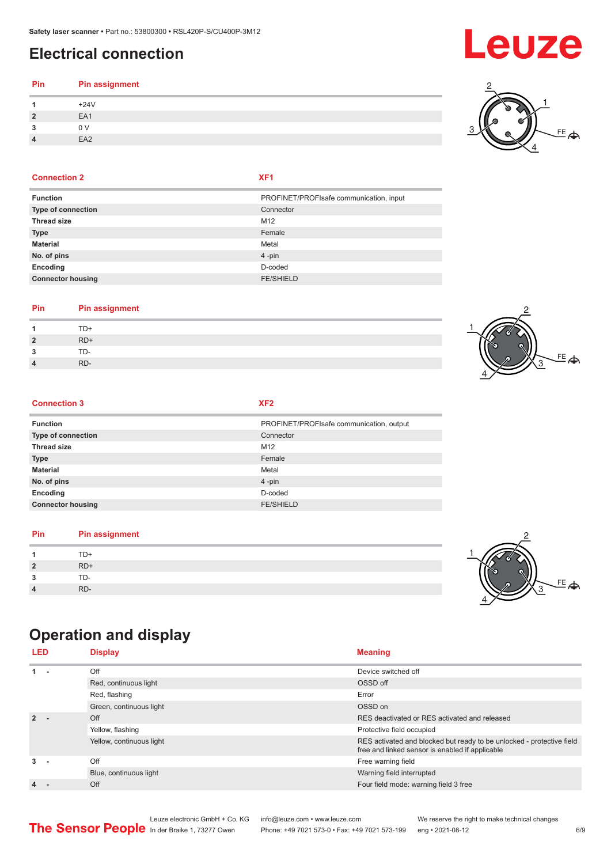# <span id="page-5-0"></span>**Electrical connection**

### **Pin Pin assignment** 1  $+24V$ **2** EA1

|                | .27v            |  |
|----------------|-----------------|--|
| $\overline{2}$ | EA1             |  |
| 3              | 0 <sub>V</sub>  |  |
|                | EA <sub>2</sub> |  |
|                |                 |  |

### **Connection 2 XF1**

| <b>Function</b>          | PROFINET/PROFIsafe communication, input |
|--------------------------|-----------------------------------------|
| Type of connection       | Connector                               |
| <b>Thread size</b>       | M <sub>12</sub>                         |
| <b>Type</b>              | Female                                  |
| <b>Material</b>          | Metal                                   |
| No. of pins              | $4 - pin$                               |
| Encoding                 | D-coded                                 |
| <b>Connector housing</b> | <b>FE/SHIELD</b>                        |
|                          |                                         |

### **Pin Pin assignment**

|                |       | - - |
|----------------|-------|-----|
| 1              | TD+   |     |
| $\overline{2}$ | $RD+$ |     |
| 3              | TD-   | w.  |
| $\overline{4}$ | RD-   |     |
|                |       |     |

### **Connection 3 XF2**

| <b>Function</b>          | PROFINET/PROFIsafe communication, output |
|--------------------------|------------------------------------------|
| Type of connection       | Connector                                |
| <b>Thread size</b>       | M12                                      |
| <b>Type</b>              | Female                                   |
| <b>Material</b>          | Metal                                    |
| No. of pins              | $4 - pin$                                |
| Encoding                 | D-coded                                  |
| <b>Connector housing</b> | <b>FE/SHIELD</b>                         |

### **Pin Pin assignment**

|                | $TD+$ |  |
|----------------|-------|--|
| $\overline{2}$ | $RD+$ |  |
| 3              | TD-   |  |
| 4              | RD-   |  |

# **Operation and display**

| <b>LED</b> | <b>Display</b>           | <b>Meaning</b>                                                                                                           |
|------------|--------------------------|--------------------------------------------------------------------------------------------------------------------------|
| $1 -$      | Off                      | Device switched off                                                                                                      |
|            | Red, continuous light    | OSSD off                                                                                                                 |
|            | Red, flashing            | Error                                                                                                                    |
|            | Green, continuous light  | OSSD on                                                                                                                  |
| $2 -$      | Off                      | RES deactivated or RES activated and released                                                                            |
|            | Yellow, flashing         | Protective field occupied                                                                                                |
|            | Yellow, continuous light | RES activated and blocked but ready to be unlocked - protective field<br>free and linked sensor is enabled if applicable |
| $3 -$      | Off                      | Free warning field                                                                                                       |
|            | Blue, continuous light   | Warning field interrupted                                                                                                |
| 4.         | Off                      | Four field mode: warning field 3 free                                                                                    |







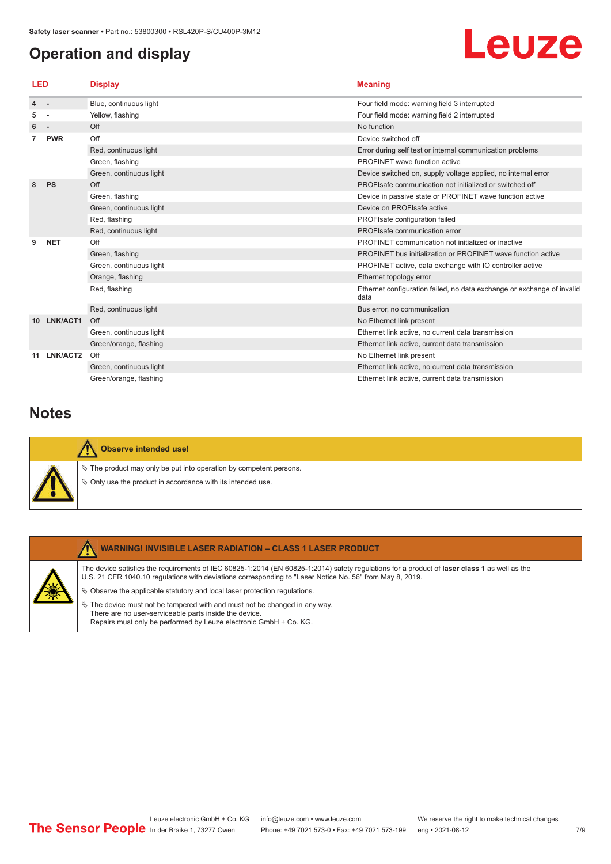# <span id="page-6-0"></span>**Operation and display**

# Leuze

| LED |                          | <b>Display</b>          | <b>Meaning</b>                                                                 |
|-----|--------------------------|-------------------------|--------------------------------------------------------------------------------|
| 4   | $\sim$                   | Blue, continuous light  | Four field mode: warning field 3 interrupted                                   |
| 5   |                          | Yellow, flashing        | Four field mode: warning field 2 interrupted                                   |
| 6   | $\overline{\phantom{a}}$ | Off                     | No function                                                                    |
|     | <b>PWR</b>               | Off                     | Device switched off                                                            |
|     |                          | Red, continuous light   | Error during self test or internal communication problems                      |
|     |                          | Green, flashing         | PROFINET wave function active                                                  |
|     |                          | Green, continuous light | Device switched on, supply voltage applied, no internal error                  |
| 8   | <b>PS</b>                | Off                     | PROFIsafe communication not initialized or switched off                        |
|     |                          | Green, flashing         | Device in passive state or PROFINET wave function active                       |
|     |                          | Green, continuous light | Device on PROFIsafe active                                                     |
|     |                          | Red, flashing           | PROFIsafe configuration failed                                                 |
|     |                          | Red, continuous light   | PROFIsafe communication error                                                  |
| 9   | <b>NET</b>               | Off                     | PROFINET communication not initialized or inactive                             |
|     |                          | Green, flashing         | PROFINET bus initialization or PROFINET wave function active                   |
|     |                          | Green, continuous light | PROFINET active, data exchange with IO controller active                       |
|     |                          | Orange, flashing        | Ethernet topology error                                                        |
|     |                          | Red, flashing           | Ethernet configuration failed, no data exchange or exchange of invalid<br>data |
|     |                          | Red, continuous light   | Bus error, no communication                                                    |
| 10. | LNK/ACT1                 | Off                     | No Ethernet link present                                                       |
|     |                          | Green, continuous light | Ethernet link active, no current data transmission                             |
|     |                          | Green/orange, flashing  | Ethernet link active, current data transmission                                |
| 11  | LNK/ACT2                 | Off                     | No Ethernet link present                                                       |
|     |                          | Green, continuous light | Ethernet link active, no current data transmission                             |
|     |                          | Green/orange, flashing  | Ethernet link active, current data transmission                                |

## **Notes**

| <b>Observe intended use!</b>                                                                                                            |
|-----------------------------------------------------------------------------------------------------------------------------------------|
| $\%$ The product may only be put into operation by competent persons.<br>$\&$ Only use the product in accordance with its intended use. |



### **WARNING! INVISIBLE LASER RADIATION – CLASS 1 LASER PRODUCT**

The device satisfies the requirements of IEC 60825-1:2014 (EN 60825-1:2014) safety regulations for a product of **laser class 1** as well as the U.S. 21 CFR 1040.10 regulations with deviations corresponding to "Laser Notice No. 56" from May 8, 2019.

 $\ddot{\phi}$  Observe the applicable statutory and local laser protection regulations.

 $\%$  The device must not be tampered with and must not be changed in any way. There are no user-serviceable parts inside the device. Repairs must only be performed by Leuze electronic GmbH + Co. KG.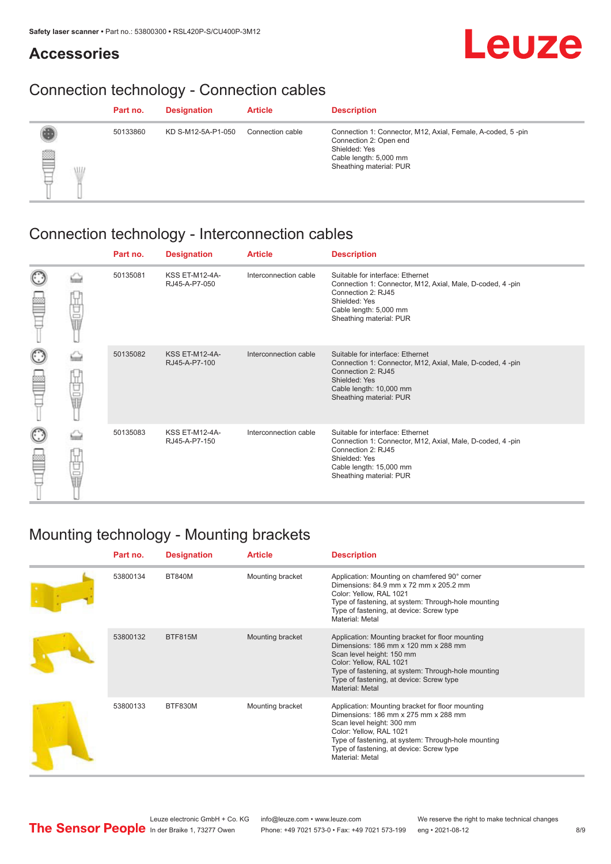## **Accessories**

# Leuze

# Connection technology - Connection cables

|                | Part no. | <b>Designation</b> | <b>Article</b>   | <b>Description</b>                                                                                                                                          |
|----------------|----------|--------------------|------------------|-------------------------------------------------------------------------------------------------------------------------------------------------------------|
| ▌<br>VII.<br>ᄇ | 50133860 | KD S-M12-5A-P1-050 | Connection cable | Connection 1: Connector, M12, Axial, Female, A-coded, 5-pin<br>Connection 2: Open end<br>Shielded: Yes<br>Cable length: 5,000 mm<br>Sheathing material: PUR |

# Connection technology - Interconnection cables

|        |             | Part no. | <b>Designation</b>                     | <b>Article</b>        | <b>Description</b>                                                                                                                                                                         |
|--------|-------------|----------|----------------------------------------|-----------------------|--------------------------------------------------------------------------------------------------------------------------------------------------------------------------------------------|
| C      | Ù<br>U<br>U | 50135081 | <b>KSS ET-M12-4A-</b><br>RJ45-A-P7-050 | Interconnection cable | Suitable for interface: Ethernet<br>Connection 1: Connector, M12, Axial, Male, D-coded, 4-pin<br>Connection 2: RJ45<br>Shielded: Yes<br>Cable length: 5,000 mm<br>Sheathing material: PUR  |
| C      | 世晶          | 50135082 | <b>KSS ET-M12-4A-</b><br>RJ45-A-P7-100 | Interconnection cable | Suitable for interface: Ethernet<br>Connection 1: Connector, M12, Axial, Male, D-coded, 4-pin<br>Connection 2: RJ45<br>Shielded: Yes<br>Cable length: 10,000 mm<br>Sheathing material: PUR |
| C<br>Ê | Ù<br>U<br>U | 50135083 | <b>KSS ET-M12-4A-</b><br>RJ45-A-P7-150 | Interconnection cable | Suitable for interface: Ethernet<br>Connection 1: Connector, M12, Axial, Male, D-coded, 4-pin<br>Connection 2: RJ45<br>Shielded: Yes<br>Cable length: 15,000 mm<br>Sheathing material: PUR |

# Mounting technology - Mounting brackets

| Part no. | <b>Designation</b> | <b>Article</b>   | <b>Description</b>                                                                                                                                                                                                                                                     |
|----------|--------------------|------------------|------------------------------------------------------------------------------------------------------------------------------------------------------------------------------------------------------------------------------------------------------------------------|
| 53800134 | <b>BT840M</b>      | Mounting bracket | Application: Mounting on chamfered 90° corner<br>Dimensions: 84.9 mm x 72 mm x 205.2 mm<br>Color: Yellow, RAL 1021<br>Type of fastening, at system: Through-hole mounting<br>Type of fastening, at device: Screw type<br>Material: Metal                               |
| 53800132 | <b>BTF815M</b>     | Mounting bracket | Application: Mounting bracket for floor mounting<br>Dimensions: 186 mm x 120 mm x 288 mm<br>Scan level height: 150 mm<br>Color: Yellow, RAL 1021<br>Type of fastening, at system: Through-hole mounting<br>Type of fastening, at device: Screw type<br>Material: Metal |
| 53800133 | BTF830M            | Mounting bracket | Application: Mounting bracket for floor mounting<br>Dimensions: 186 mm x 275 mm x 288 mm<br>Scan level height: 300 mm<br>Color: Yellow, RAL 1021<br>Type of fastening, at system: Through-hole mounting<br>Type of fastening, at device: Screw type<br>Material: Metal |